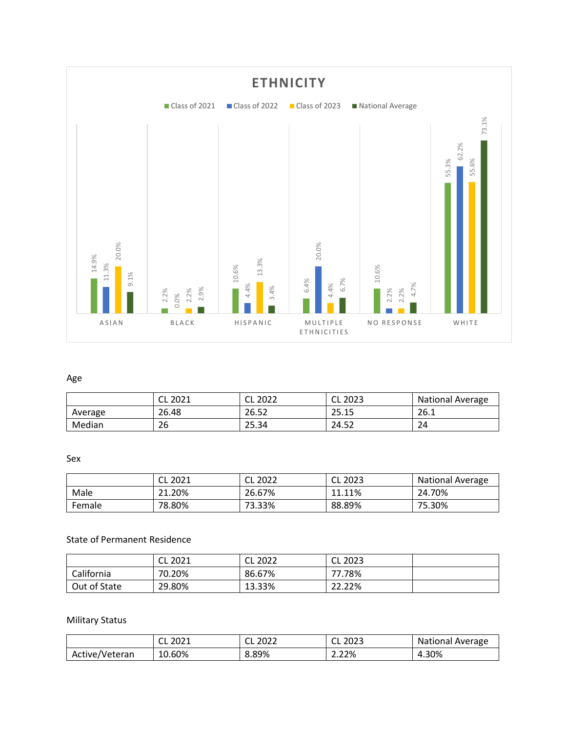

## Age

|         | 2021<br>∽<br>◡└ | 2022<br>◡∟ | CL<br>2023 | <b>National Average</b> |
|---------|-----------------|------------|------------|-------------------------|
| Average | 26.48           | 26.52      | 25.15      | 26.1                    |
| Median  | 26              | 25.34      | 24.52      | 24                      |

#### Sex

|        | 2021   | CL 2022 | CL 2023 | <b>National Average</b> |
|--------|--------|---------|---------|-------------------------|
| Male   | 21.20% | 26.67%  | 11.11%  | 24.70%                  |
| Female | 78.80% | 73.33%  | 88.89%  | 75.30%                  |

### State of Permanent Residence

|              | CL 2021 | CL 2022 | CL 2023 |  |
|--------------|---------|---------|---------|--|
| California   | 70.20%  | 86.67%  | 77.78%  |  |
| Out of State | 29.80%  | 13.33%  | 22.22%  |  |

## Military Status

|                | 2021<br>UL. | 2022<br>◡∟ | CL 2023 | National Average |
|----------------|-------------|------------|---------|------------------|
| Active/Veteran | 10.60%      | 8.89%      | 2.22%   | 4.30%            |